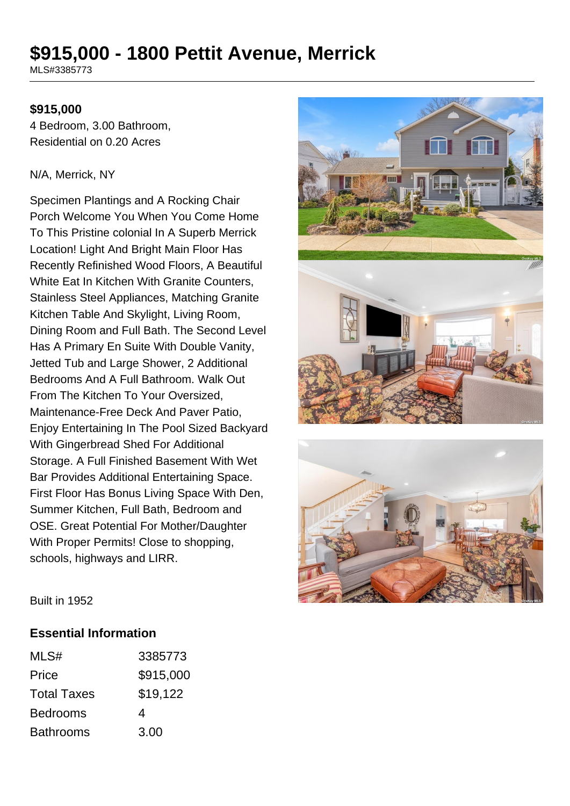# **\$915,000 - 1800 Pettit Avenue, Merrick**

MLS#3385773

#### **\$915,000**

4 Bedroom, 3.00 Bathroom, Residential on 0.20 Acres

#### N/A, Merrick, NY

Specimen Plantings and A Rocking Chair Porch Welcome You When You Come Home To This Pristine colonial In A Superb Merrick Location! Light And Bright Main Floor Has Recently Refinished Wood Floors, A Beautiful White Eat In Kitchen With Granite Counters, Stainless Steel Appliances, Matching Granite Kitchen Table And Skylight, Living Room, Dining Room and Full Bath. The Second Level Has A Primary En Suite With Double Vanity, Jetted Tub and Large Shower, 2 Additional Bedrooms And A Full Bathroom. Walk Out From The Kitchen To Your Oversized, Maintenance-Free Deck And Paver Patio, Enjoy Entertaining In The Pool Sized Backyard With Gingerbread Shed For Additional Storage. A Full Finished Basement With Wet Bar Provides Additional Entertaining Space. First Floor Has Bonus Living Space With Den, Summer Kitchen, Full Bath, Bedroom and OSE. Great Potential For Mother/Daughter With Proper Permits! Close to shopping, schools, highways and LIRR.





Built in 1952

#### **Essential Information**

| MLS#               | 3385773   |
|--------------------|-----------|
| Price              | \$915,000 |
| <b>Total Taxes</b> | \$19,122  |
| <b>Bedrooms</b>    | 4         |
| <b>Bathrooms</b>   | 3.00      |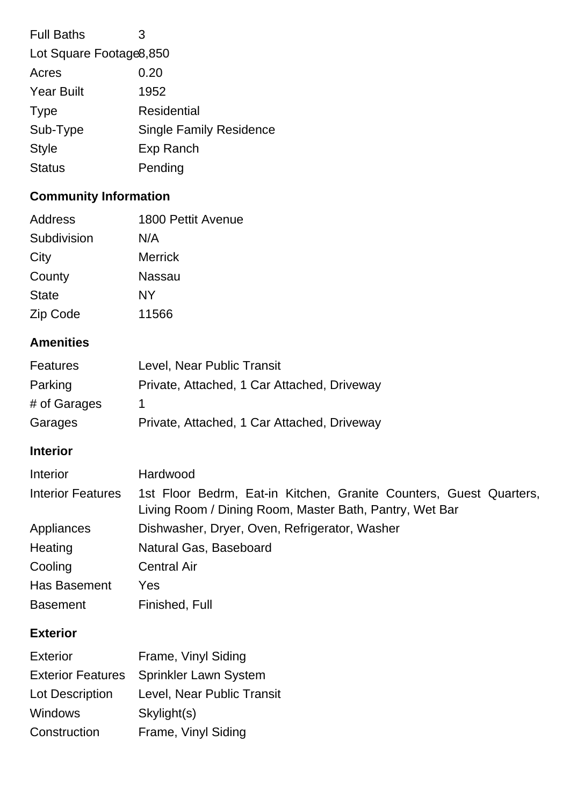| <b>Full Baths</b>        | З                              |
|--------------------------|--------------------------------|
| Lot Square Footage 8,850 |                                |
| Acres                    | 0.20                           |
| <b>Year Built</b>        | 1952                           |
| <b>Type</b>              | <b>Residential</b>             |
| Sub-Type                 | <b>Single Family Residence</b> |
| <b>Style</b>             | Exp Ranch                      |
| <b>Status</b>            | Pending                        |
|                          |                                |

## **Community Information**

| Address      | 1800 Pettit Avenue |
|--------------|--------------------|
| Subdivision  | N/A                |
| City         | <b>Merrick</b>     |
| County       | Nassau             |
| <b>State</b> | NY                 |
| Zip Code     | 11566              |

## **Amenities**

| Features     | Level, Near Public Transit                  |
|--------------|---------------------------------------------|
| Parking      | Private, Attached, 1 Car Attached, Driveway |
| # of Garages |                                             |
| Garages      | Private, Attached, 1 Car Attached, Driveway |

## **Interior**

| Interior                 | Hardwood                                                                                                                      |
|--------------------------|-------------------------------------------------------------------------------------------------------------------------------|
| <b>Interior Features</b> | 1st Floor Bedrm, Eat-in Kitchen, Granite Counters, Guest Quarters,<br>Living Room / Dining Room, Master Bath, Pantry, Wet Bar |
| Appliances               | Dishwasher, Dryer, Oven, Refrigerator, Washer                                                                                 |
| Heating                  | Natural Gas, Baseboard                                                                                                        |
| Cooling                  | <b>Central Air</b>                                                                                                            |
| <b>Has Basement</b>      | Yes                                                                                                                           |
| <b>Basement</b>          | Finished, Full                                                                                                                |

## **Exterior**

| <b>Exterior</b>          | Frame, Vinyl Siding          |
|--------------------------|------------------------------|
| <b>Exterior Features</b> | <b>Sprinkler Lawn System</b> |
| <b>Lot Description</b>   | Level, Near Public Transit   |
| Windows                  | Skylight(s)                  |
| Construction             | Frame, Vinyl Siding          |